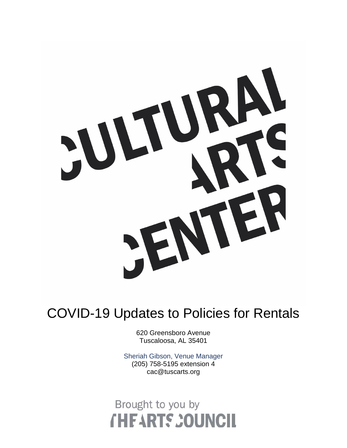

## COVID-19 Updates to Policies for Rentals

620 Greensboro Avenue Tuscaloosa, AL 35401

Sheriah Gibson, Venue Manager (205) 758-5195 extension 4 cac@tuscarts.org

## Brought to you by **THEARTS COUNCIL**